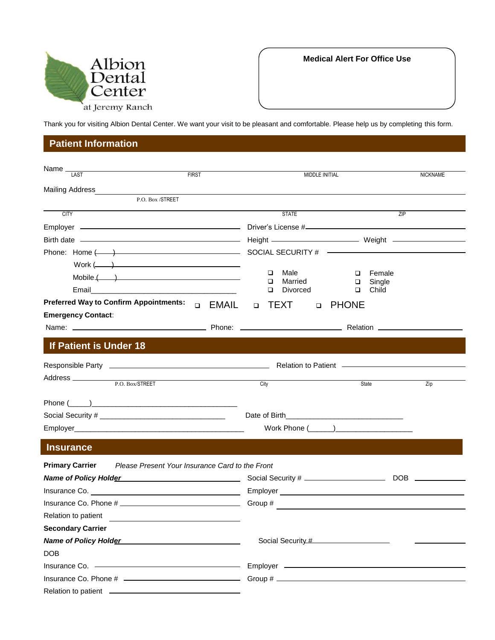

**Medical Alert For Office Use**

Thank you for visiting Albion Dental Center. We want your visit to be pleasant and comfortable. Please help us by completing this form.

# **Patient Information**

| Name $\frac{1}{\sqrt{14ST}}$                                                                                                                                                                                                              | <b>FIRST</b> |             |                     | MIDDLE INITIAL |                                                                                 | <b>NICKNAME</b> |
|-------------------------------------------------------------------------------------------------------------------------------------------------------------------------------------------------------------------------------------------|--------------|-------------|---------------------|----------------|---------------------------------------------------------------------------------|-----------------|
|                                                                                                                                                                                                                                           |              |             |                     |                |                                                                                 |                 |
| <b>Mailing Address</b><br>P.O. Box /STREET                                                                                                                                                                                                |              |             |                     |                |                                                                                 |                 |
| <b>CITY</b>                                                                                                                                                                                                                               |              |             | <b>STATE</b>        |                | ZIP                                                                             |                 |
|                                                                                                                                                                                                                                           |              |             |                     |                |                                                                                 |                 |
|                                                                                                                                                                                                                                           |              |             |                     |                |                                                                                 |                 |
| Phone: Home ( ) Contract the SOCIAL SECURITY # ( CONSERVERTY A CONSERVERTY # THE SOCIAL SECURITY # ( ) A CONSERVERTY #                                                                                                                    |              |             |                     |                |                                                                                 |                 |
| $Work (\hspace{1cm} \longrightarrow \hspace{1cm} \longrightarrow \hspace{1cm} \longrightarrow \hspace{1cm} \longrightarrow \hspace{1cm} \longrightarrow$                                                                                  |              |             |                     |                |                                                                                 |                 |
| $\text{Mobile} \left( \begin{array}{c} \text{Mobile} \left( \begin{array}{c} \text{Mobile} \end{array} \right) \end{array} \right)$                                                                                                       |              | □           | Male                | □              | Female                                                                          |                 |
| Email<br><u> 1989 - Johann John Stone, mars eta biztanleria (</u>                                                                                                                                                                         |              | $\Box$<br>□ | Married<br>Divorced | ❏<br>◻         | Single<br>Child                                                                 |                 |
| <b>Preferred Way to Confirm Appointments:</b>                                                                                                                                                                                             |              |             |                     |                |                                                                                 |                 |
| <b>Emergency Contact:</b>                                                                                                                                                                                                                 | o EMAIL      |             | o TEXT              | D PHONE        |                                                                                 |                 |
|                                                                                                                                                                                                                                           |              |             |                     |                |                                                                                 |                 |
|                                                                                                                                                                                                                                           |              |             |                     |                |                                                                                 |                 |
| <b>If Patient is Under 18</b>                                                                                                                                                                                                             |              |             |                     |                |                                                                                 |                 |
|                                                                                                                                                                                                                                           |              |             |                     |                |                                                                                 |                 |
| Address P.O. Box/STREET                                                                                                                                                                                                                   |              |             |                     |                |                                                                                 |                 |
|                                                                                                                                                                                                                                           |              | City        |                     |                | State                                                                           | Zip             |
|                                                                                                                                                                                                                                           |              |             |                     |                |                                                                                 |                 |
|                                                                                                                                                                                                                                           |              |             |                     |                |                                                                                 |                 |
|                                                                                                                                                                                                                                           |              |             |                     |                |                                                                                 |                 |
| <b>Insurance</b>                                                                                                                                                                                                                          |              |             |                     |                |                                                                                 |                 |
| Please Present Your Insurance Card to the Front<br><b>Primary Carrier</b>                                                                                                                                                                 |              |             |                     |                |                                                                                 |                 |
| Name of Policy Holder <b>Container Container Container Container Container Container Container Container Container</b> DOB <b>Container Container Container Container Container Container Container Container Container Container Con</b> |              |             |                     |                |                                                                                 |                 |
|                                                                                                                                                                                                                                           |              |             |                     |                |                                                                                 |                 |
|                                                                                                                                                                                                                                           |              | Group #     |                     |                | the contract of the contract of the contract of the contract of the contract of |                 |
| Relation to patient                                                                                                                                                                                                                       |              |             |                     |                |                                                                                 |                 |
| <b>Secondary Carrier</b>                                                                                                                                                                                                                  |              |             |                     |                |                                                                                 |                 |
| Name of Policy Holder Manual Processors And Policy Holder                                                                                                                                                                                 |              |             | Social Security #   |                |                                                                                 |                 |
| <b>DOB</b>                                                                                                                                                                                                                                |              |             |                     |                |                                                                                 |                 |
|                                                                                                                                                                                                                                           |              |             |                     |                |                                                                                 |                 |
|                                                                                                                                                                                                                                           |              |             |                     |                |                                                                                 |                 |
|                                                                                                                                                                                                                                           |              |             |                     |                |                                                                                 |                 |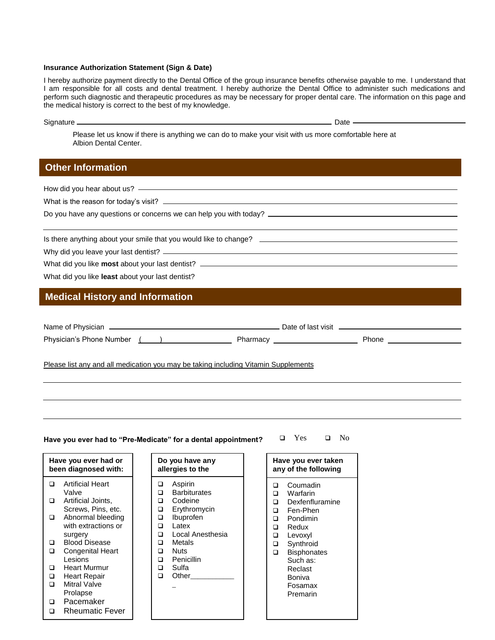#### **Insurance Authorization Statement (Sign & Date)**

I hereby authorize payment directly to the Dental Office of the group insurance benefits otherwise payable to me. I understand that I am responsible for all costs and dental treatment. I hereby authorize the Dental Office to administer such medications and perform such diagnostic and therapeutic procedures as may be necessary for proper dental care. The information on this page and the medical history is correct to the best of my knowledge.

Signature Date

Please let us know if there is anything we can do to make your visit with us more comfortable here at Albion Dental Center.

# **Other Information**

How did you hear about us?

What is the reason for today's visit? \_\_\_\_\_\_\_\_\_\_

Do you have any questions or concerns we can help you with today?

Is there anything about your smile that you would like to change?

Why did you leave your last dentist? \_

What did you like **most** about your last dentist?

What did you like **least** about your last dentist?

# **Medical History and Information**

| Physician's Phone Number ()                                                        | Pharmacy Management Pharmacy | Phone __________________ |  |  |  |  |
|------------------------------------------------------------------------------------|------------------------------|--------------------------|--|--|--|--|
| Please list any and all medication you may be taking including Vitamin Supplements |                              |                          |  |  |  |  |
|                                                                                    |                              |                          |  |  |  |  |
|                                                                                    |                              |                          |  |  |  |  |
|                                                                                    |                              |                          |  |  |  |  |

#### **Have you ever had to "Pre-Medicate" for a dental appointment?**  Yes No

|        | Have you ever had or<br>been diagnosed with: | Do y<br>aller    |  |
|--------|----------------------------------------------|------------------|--|
| ⊓      | <b>Artificial Heart</b><br>Valve             | ◻<br>$\Box$      |  |
| □      | Artificial Joints,                           | $\Box$<br>$\Box$ |  |
| □      | Screws, Pins, etc.<br>Abnormal bleeding      | $\Box$           |  |
|        | with extractions or<br>surgery               | $\Box$<br>$\Box$ |  |
| □      | <b>Blood Disease</b>                         | $\Box$           |  |
| □      | <b>Congenital Heart</b><br>Lesions           | $\Box$<br>$\Box$ |  |
| ❏      | Heart Murmur                                 | $\Box$           |  |
| $\Box$ | Heart Repair                                 | $\Box$           |  |
| □      | Mitral Valve                                 |                  |  |
|        | Prolapse                                     |                  |  |
| □      | Pacemaker                                    |                  |  |
| ⊓      | Rheumatic Fever                              |                  |  |

| Do you have any<br>allergies to the |         |  |
|-------------------------------------|---------|--|
| ⊔                                   | Aspirin |  |

- **Barbiturates**
- Codeine
- Erythromycin
- Ibuprofen
- Latex
- Local Anesthesia
- Metals
- **Nuts**
- Penicillin Sulfa
- Other
	- \_

□ Coumadin **Have you ever taken any of the following Meds?**

- □ Warfarin
- Dexfenfluramine □ Fen-Phen
- D Pondimin
- **Q** Redux
- **Q** Levoxyl
- 
- □ Synthroid D Bisphonates Such as: Reclast Boniva
	- Fosamax Premarin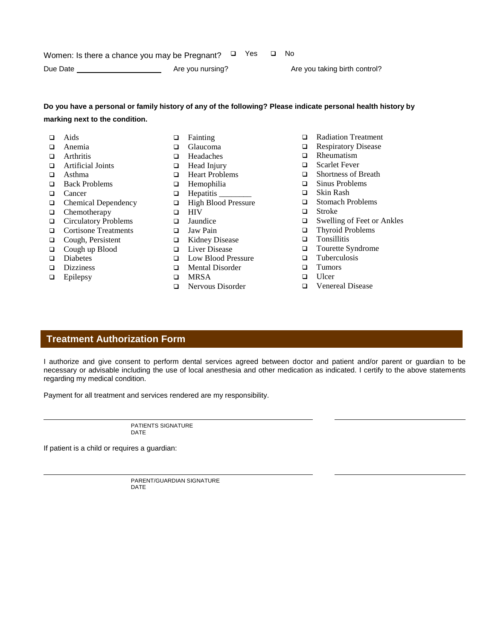| Women: Is there a chance you may be Pregnant? $\Box$ Yes $\Box$ No |  |  |  |  |
|--------------------------------------------------------------------|--|--|--|--|
|--------------------------------------------------------------------|--|--|--|--|

Due Date Are you nursing? Are you taking birth control?

# **Do you have a personal or family history of any of the following? Please indicate personal health history by marking next to the condition.**

- Aids
- **D** Anemia
- **D** Arthritis
- Artificial Joints
- Asthma
- □ Back Problems
- **Q** Cancer
- □ Chemical Dependency
- **Q** Chemotherapy
- □ Circulatory Problems
- **Q** Cortisone Treatments
- □ Cough, Persistent
- □ Cough up Blood
- Diabetes
- **Dizziness**
- $\Box$  Epilepsy
- □ Fainting
- □ Glaucoma
- □ Headaches
- $\Box$  Head Injury
- **Heart Problems**
- **Hemophilia**
- $\Box$  Hepatitis  $\Box$
- $\Box$  High Blood Pressure
- **Q** HIV
- **Jaundice**
- Jaw Pain
- □ Kidney Disease
- **Liver Disease**
- **Low Blood Pressure D** Mental Disorder
- □ MRSA
- Nervous Disorder
- □ Radiation Treatment
- Respiratory Disease
- **Q** Rheumatism
- □ Scarlet Fever
- □ Shortness of Breath
- **Q** Sinus Problems
- □ Skin Rash
- □ Stomach Problems
- □ Stroke
- Swelling of Feet or Ankles
- □ Thyroid Problems
- **D** Tonsillitis
- $\square$  Tourette Syndrome
- **u** Tuberculosis
- **D** Tumors
- **u** Ulcer
- Venereal Disease

# **Treatment Authorization Form**

I authorize and give consent to perform dental services agreed between doctor and patient and/or parent or guardian to be necessary or advisable including the use of local anesthesia and other medication as indicated. I certify to the above statements regarding my medical condition.

Payment for all treatment and services rendered are my responsibility.

PATIENTS SIGNATURE DATE

If patient is a child or requires a guardian:

PARENT/GUARDIAN SIGNATURE DATE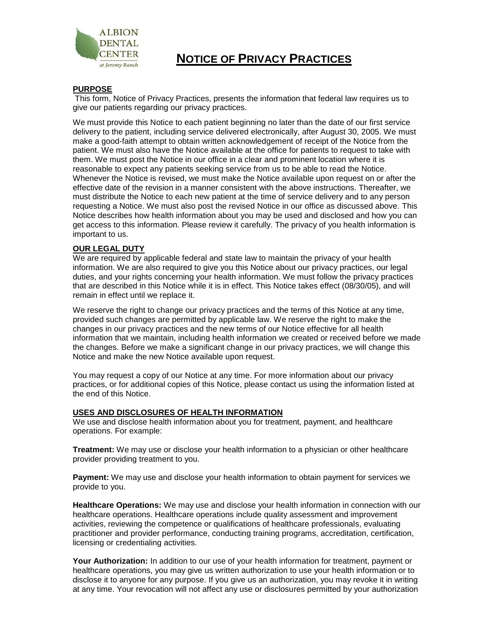

# **NOTICE OF PRIVACY PRACTICES**

#### **PURPOSE**

This form, Notice of Privacy Practices, presents the information that federal law requires us to give our patients regarding our privacy practices.

We must provide this Notice to each patient beginning no later than the date of our first service delivery to the patient, including service delivered electronically, after August 30, 2005. We must make a good-faith attempt to obtain written acknowledgement of receipt of the Notice from the patient. We must also have the Notice available at the office for patients to request to take with them. We must post the Notice in our office in a clear and prominent location where it is reasonable to expect any patients seeking service from us to be able to read the Notice. Whenever the Notice is revised, we must make the Notice available upon request on or after the effective date of the revision in a manner consistent with the above instructions. Thereafter, we must distribute the Notice to each new patient at the time of service delivery and to any person requesting a Notice. We must also post the revised Notice in our office as discussed above. This Notice describes how health information about you may be used and disclosed and how you can get access to this information. Please review it carefully. The privacy of you health information is important to us.

#### **OUR LEGAL DUTY**

We are required by applicable federal and state law to maintain the privacy of your health information. We are also required to give you this Notice about our privacy practices, our legal duties, and your rights concerning your health information. We must follow the privacy practices that are described in this Notice while it is in effect. This Notice takes effect (08/30/05), and will remain in effect until we replace it.

We reserve the right to change our privacy practices and the terms of this Notice at any time, provided such changes are permitted by applicable law. We reserve the right to make the changes in our privacy practices and the new terms of our Notice effective for all health information that we maintain, including health information we created or received before we made the changes. Before we make a significant change in our privacy practices, we will change this Notice and make the new Notice available upon request.

You may request a copy of our Notice at any time. For more information about our privacy practices, or for additional copies of this Notice, please contact us using the information listed at the end of this Notice.

#### **USES AND DISCLOSURES OF HEALTH INFORMATION**

We use and disclose health information about you for treatment, payment, and healthcare operations. For example:

**Treatment:** We may use or disclose your health information to a physician or other healthcare provider providing treatment to you.

**Payment:** We may use and disclose your health information to obtain payment for services we provide to you.

**Healthcare Operations:** We may use and disclose your health information in connection with our healthcare operations. Healthcare operations include quality assessment and improvement activities, reviewing the competence or qualifications of healthcare professionals, evaluating practitioner and provider performance, conducting training programs, accreditation, certification, licensing or credentialing activities.

**Your Authorization:** In addition to our use of your health information for treatment, payment or healthcare operations, you may give us written authorization to use your health information or to disclose it to anyone for any purpose. If you give us an authorization, you may revoke it in writing at any time. Your revocation will not affect any use or disclosures permitted by your authorization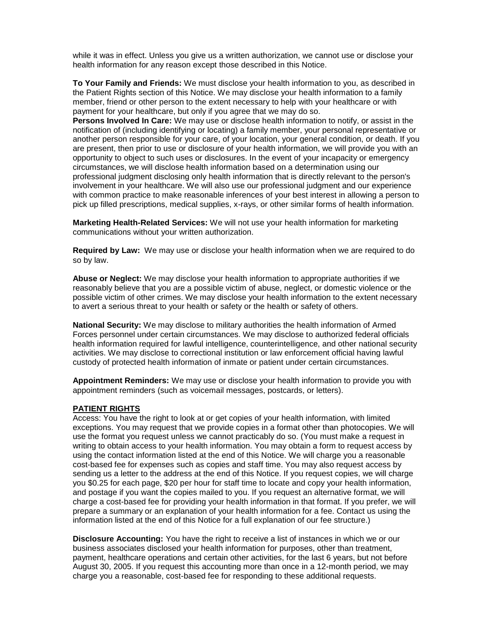while it was in effect. Unless you give us a written authorization, we cannot use or disclose your health information for any reason except those described in this Notice.

**To Your Family and Friends:** We must disclose your health information to you, as described in the Patient Rights section of this Notice. We may disclose your health information to a family member, friend or other person to the extent necessary to help with your healthcare or with payment for your healthcare, but only if you agree that we may do so.

**Persons Involved In Care:** We may use or disclose health information to notify, or assist in the notification of (including identifying or locating) a family member, your personal representative or another person responsible for your care, of your location, your general condition, or death. If you are present, then prior to use or disclosure of your health information, we will provide you with an opportunity to object to such uses or disclosures. In the event of your incapacity or emergency circumstances, we will disclose health information based on a determination using our professional judgment disclosing only health information that is directly relevant to the person's involvement in your healthcare. We will also use our professional judgment and our experience with common practice to make reasonable inferences of your best interest in allowing a person to pick up filled prescriptions, medical supplies, x-rays, or other similar forms of health information.

**Marketing Health-Related Services:** We will not use your health information for marketing communications without your written authorization.

**Required by Law:** We may use or disclose your health information when we are required to do so by law.

**Abuse or Neglect:** We may disclose your health information to appropriate authorities if we reasonably believe that you are a possible victim of abuse, neglect, or domestic violence or the possible victim of other crimes. We may disclose your health information to the extent necessary to avert a serious threat to your health or safety or the health or safety of others.

**National Security:** We may disclose to military authorities the health information of Armed Forces personnel under certain circumstances. We may disclose to authorized federal officials health information required for lawful intelligence, counterintelligence, and other national security activities. We may disclose to correctional institution or law enforcement official having lawful custody of protected health information of inmate or patient under certain circumstances.

**Appointment Reminders:** We may use or disclose your health information to provide you with appointment reminders (such as voicemail messages, postcards, or letters).

#### **PATIENT RIGHTS**

Access: You have the right to look at or get copies of your health information, with limited exceptions. You may request that we provide copies in a format other than photocopies. We will use the format you request unless we cannot practicably do so. (You must make a request in writing to obtain access to your health information. You may obtain a form to request access by using the contact information listed at the end of this Notice. We will charge you a reasonable cost-based fee for expenses such as copies and staff time. You may also request access by sending us a letter to the address at the end of this Notice. If you request copies, we will charge you \$0.25 for each page, \$20 per hour for staff time to locate and copy your health information, and postage if you want the copies mailed to you. If you request an alternative format, we will charge a cost-based fee for providing your health information in that format. If you prefer, we will prepare a summary or an explanation of your health information for a fee. Contact us using the information listed at the end of this Notice for a full explanation of our fee structure.)

**Disclosure Accounting:** You have the right to receive a list of instances in which we or our business associates disclosed your health information for purposes, other than treatment, payment, healthcare operations and certain other activities, for the last 6 years, but not before August 30, 2005. If you request this accounting more than once in a 12-month period, we may charge you a reasonable, cost-based fee for responding to these additional requests.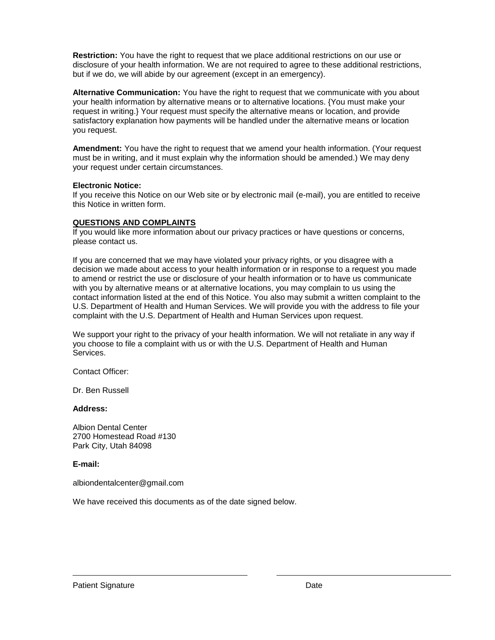**Restriction:** You have the right to request that we place additional restrictions on our use or disclosure of your health information. We are not required to agree to these additional restrictions, but if we do, we will abide by our agreement (except in an emergency).

**Alternative Communication:** You have the right to request that we communicate with you about your health information by alternative means or to alternative locations. {You must make your request in writing.} Your request must specify the alternative means or location, and provide satisfactory explanation how payments will be handled under the alternative means or location you request.

**Amendment:** You have the right to request that we amend your health information. (Your request must be in writing, and it must explain why the information should be amended.) We may deny your request under certain circumstances.

#### **Electronic Notice:**

If you receive this Notice on our Web site or by electronic mail (e-mail), you are entitled to receive this Notice in written form.

### **QUESTIONS AND COMPLAINTS**

If you would like more information about our privacy practices or have questions or concerns, please contact us.

If you are concerned that we may have violated your privacy rights, or you disagree with a decision we made about access to your health information or in response to a request you made to amend or restrict the use or disclosure of your health information or to have us communicate with you by alternative means or at alternative locations, you may complain to us using the contact information listed at the end of this Notice. You also may submit a written complaint to the U.S. Department of Health and Human Services. We will provide you with the address to file your complaint with the U.S. Department of Health and Human Services upon request.

We support your right to the privacy of your health information. We will not retaliate in any way if you choose to file a complaint with us or with the U.S. Department of Health and Human Services.

Contact Officer:

Dr. Ben Russell

#### **Address:**

Albion Dental Center 2700 Homestead Road #130 Park City, Utah 84098

### **E-mail:**

albiondentalcenter@gmail.com

We have received this documents as of the date signed below.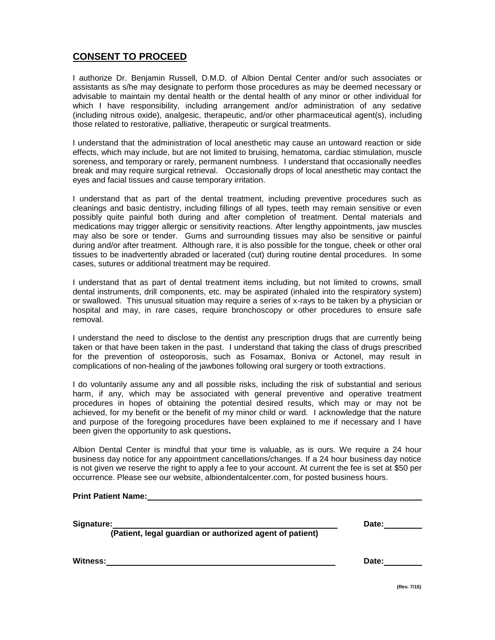# **CONSENT TO PROCEED**

I authorize Dr. Benjamin Russell, D.M.D. of Albion Dental Center and/or such associates or assistants as s/he may designate to perform those procedures as may be deemed necessary or advisable to maintain my dental health or the dental health of any minor or other individual for which I have responsibility, including arrangement and/or administration of any sedative (including nitrous oxide), analgesic, therapeutic, and/or other pharmaceutical agent(s), including those related to restorative, palliative, therapeutic or surgical treatments.

I understand that the administration of local anesthetic may cause an untoward reaction or side effects, which may include, but are not limited to bruising, hematoma, cardiac stimulation, muscle soreness, and temporary or rarely, permanent numbness. I understand that occasionally needles break and may require surgical retrieval. Occasionally drops of local anesthetic may contact the eyes and facial tissues and cause temporary irritation.

I understand that as part of the dental treatment, including preventive procedures such as cleanings and basic dentistry, including fillings of all types, teeth may remain sensitive or even possibly quite painful both during and after completion of treatment. Dental materials and medications may trigger allergic or sensitivity reactions. After lengthy appointments, jaw muscles may also be sore or tender. Gums and surrounding tissues may also be sensitive or painful during and/or after treatment. Although rare, it is also possible for the tongue, cheek or other oral tissues to be inadvertently abraded or lacerated (cut) during routine dental procedures. In some cases, sutures or additional treatment may be required.

I understand that as part of dental treatment items including, but not limited to crowns, small dental instruments, drill components, etc. may be aspirated (inhaled into the respiratory system) or swallowed. This unusual situation may require a series of x-rays to be taken by a physician or hospital and may, in rare cases, require bronchoscopy or other procedures to ensure safe removal.

I understand the need to disclose to the dentist any prescription drugs that are currently being taken or that have been taken in the past. I understand that taking the class of drugs prescribed for the prevention of osteoporosis, such as Fosamax, Boniva or Actonel, may result in complications of non-healing of the jawbones following oral surgery or tooth extractions.

I do voluntarily assume any and all possible risks, including the risk of substantial and serious harm, if any, which may be associated with general preventive and operative treatment procedures in hopes of obtaining the potential desired results, which may or may not be achieved, for my benefit or the benefit of my minor child or ward. I acknowledge that the nature and purpose of the foregoing procedures have been explained to me if necessary and I have been given the opportunity to ask questions**.**

Albion Dental Center is mindful that your time is valuable, as is ours. We require a 24 hour business day notice for any appointment cancellations/changes. If a 24 hour business day notice is not given we reserve the right to apply a fee to your account. At current the fee is set at \$50 per occurrence. Please see our website, albiondentalcenter.com, for posted business hours.

#### **Print Patient Name:**

 **(Patient, legal guardian or authorized agent of patient)**

**Signature:** Date: Date: Date: Date: Date: Date: Date: Date: Date: Date: Date: Date: Date: Date: Date: Date: Date: Date: Date: Date: Date: Date: Date: Date: Date: Date: Date: Date: Date: Date: Date: Date: Date: Date: Date:

**Witness: Date:**

 **(Rev. 7/15)**